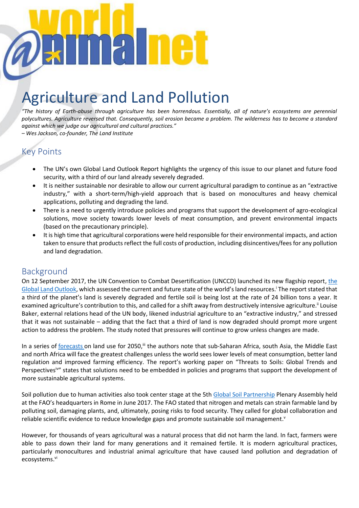# Agriculture and Land Pollution

*"The history of Earth-abuse through agriculture has been horrendous. Essentially, all of nature's ecosystems are perennial polycultures. Agriculture reversed that. Consequently, soil erosion became a problem. The wilderness has to become a standard against which we judge our agricultural and cultural practices."*

*– Wes Jackson, co-founder, The Land Institute*

# Key Points

- The UN's own Global Land Outlook Report highlights the urgency of this issue to our planet and future food security, with a third of our land already severely degraded.
- It is neither sustainable nor desirable to allow our current agricultural paradigm to continue as an "extractive industry," with a short-term/high-yield approach that is based on monocultures and heavy chemical applications, polluting and degrading the land.
- There is a need to urgently introduce policies and programs that support the development of agro-ecological solutions, move society towards lower levels of meat consumption, and prevent environmental impacts (based on the precautionary principle).
- It is high time that agricultural corporations were held responsible for their environmental impacts, and action taken to ensure that products reflect the full costs of production, including disincentives/fees for any pollution and land degradation.

### Background

On 12 September 2017, the UN Convention to Combat Desertification (UNCCD) launched its new flagship report, [the](https://global-land-outlook.squarespace.com/the-outlook/#the-bokk)  [Global Land Outlook](https://global-land-outlook.squarespace.com/the-outlook/#the-bokk), which assessed the current and future state of the world's land resources.<sup>1</sup> The report stated that a third of the planet's land is severely degraded and fertile soil is being lost at the rate of 24 billion tons a year. It examined agriculture's contribution to this, and called for a shift away from destructively intensive agriculture.<sup>ii</sup> Louise Baker, external relations head of the UN body, likened industrial agriculture to an "extractive industry," and stressed that it was not sustainable – adding that the fact that a third of land is now degraded should prompt more urgent action to address the problem. The study noted that pressures will continue to grow unless changes are made.

In a series of [forecasts](https://static1.squarespace.com/static/5694c48bd82d5e9597570999/t/5979f38ad2b857fc87921632/1501164439392/GLO_Part_2_Ch_6.pdf) on land use for 2050,<sup>ii</sup> the authors note that sub-Saharan Africa, south Asia, the Middle East and north Africa will face the greatest challenges unless the world sees lower levels of meat consumption, better land regulation and improved farming efficiency. The report's working paper on "Threats to Soils: Global Trends and Perspectives<sup>iv"</sup> states that solutions need to be embedded in policies and programs that support the development of more sustainable agricultural systems.

Soil pollution due to human activities also took center stage at the 5th [Global Soil Partnership](http://www.fao.org/global-soil-partnership/en/) Plenary Assembly held at the FAO's headquarters in Rome in June 2017. The FAO stated that nitrogen and metals can strain farmable land by polluting soil, damaging plants, and, ultimately, posing risks to food security. They called for global collaboration and reliable scientific evidence to reduce knowledge gaps and promote sustainable soil management.<sup>8</sup>

However, for thousands of years agricultural was a natural process that did not harm the land. In fact, farmers were able to pass down their land for many generations and it remained fertile. It is modern agricultural practices, particularly monocultures and industrial animal agriculture that have caused land pollution and degradation of ecosystems. vi